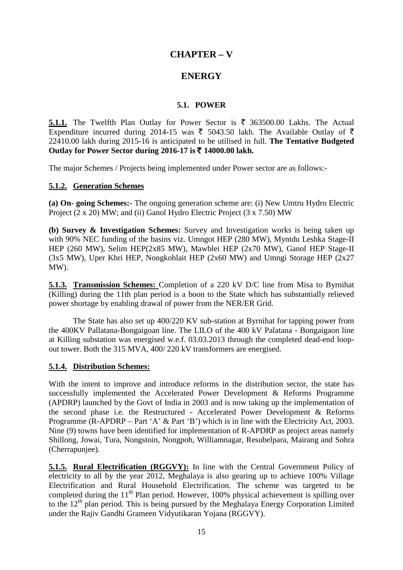# **CHAPTER – V**

## **ENERGY**

#### **5.1. POWER**

**5.1.1.** The Twelfth Plan Outlay for Power Sector is  $\bar{\xi}$  363500.00 Lakhs. The Actual Expenditure incurred during 2014-15 was  $\bar{\xi}$  5043.50 lakh. The Available Outlay of  $\bar{\xi}$ 22410.00 lakh during 2015-16 is anticipated to be utilised in full. **The Tentative Budgeted Outlay for Power Sector during 2016-17 is** ` **14000.00 lakh.**

The major Schemes / Projects being implemented under Power sector are as follows:-

#### **5.1.2. Generation Schemes**

**(a) On- going Schemes:-** The ongoing generation scheme are: (i) New Umtru Hydro Electric Project (2 x 20) MW; and (ii) Ganol Hydro Electric Project (3 x 7.50) MW

**(b) Survey & Investigation Schemes:** Survey and Investigation works is being taken up with 90% NEC funding of the basins viz. Umngot HEP (280 MW), Myntdu Leshka Stage-II HEP (260 MW), Selim HEP(2x85 MW), Mawblei HEP (2x70 MW), Ganol HEP Stage-II (3x5 MW), Uper Khri HEP, Nongkohlait HEP (2x60 MW) and Umngi Storage HEP (2x27 MW).

**5.1.3. Transmission Schemes:**  Completion of a 220 kV D/C line from Misa to Byrnihat (Killing) during the 11th plan period is a boon to the State which has substantially relieved power shortage by enabling drawal of power from the NER/ER Grid.

The State has also set up 400/220 KV sub-station at Byrnihat for tapping power from the 400KV Pallatana-Bongaigoan line. The LILO of the 400 kV Palatana - Bongaigaon line at Killing substation was energised w.e.f. 03.03.2013 through the completed dead-end loopout tower. Both the 315 MVA, 400/ 220 kV transformers are energised.

#### **5.1.4. Distribution Schemes:**

With the intent to improve and introduce reforms in the distribution sector, the state has successfully implemented the Accelerated Power Development & Reforms Programme (APDRP) launched by the Govt of India in 2003 and is now taking up the implementation of the second phase i.e. the Restructured - Accelerated Power Development & Reforms Programme (R-APDRP – Part 'A' & Part 'B') which is in line with the Electricity Act, 2003. Nine (9) towns have been identified for implementation of R-APDRP as project areas namely Shillong, Jowai, Tura, Nongstoin, Nongpoh, Williamnagar, Resubelpara, Mairang and Sohra (Cherrapunjee).

**5.1.5. Rural Electrification (RGGVY):** In line with the Central Government Policy of electricity to all by the year 2012, Meghalaya is also gearing up to achieve 100% Village Electrification and Rural Household Electrification. The scheme was targeted to be completed during the  $11<sup>th</sup>$  Plan period. However, 100% physical achievement is spilling over to the 12<sup>th</sup> plan period. This is being pursued by the Meghalaya Energy Corporation Limited under the Rajiv Gandhi Grameen Vidyutikaran Yojana (RGGVY).